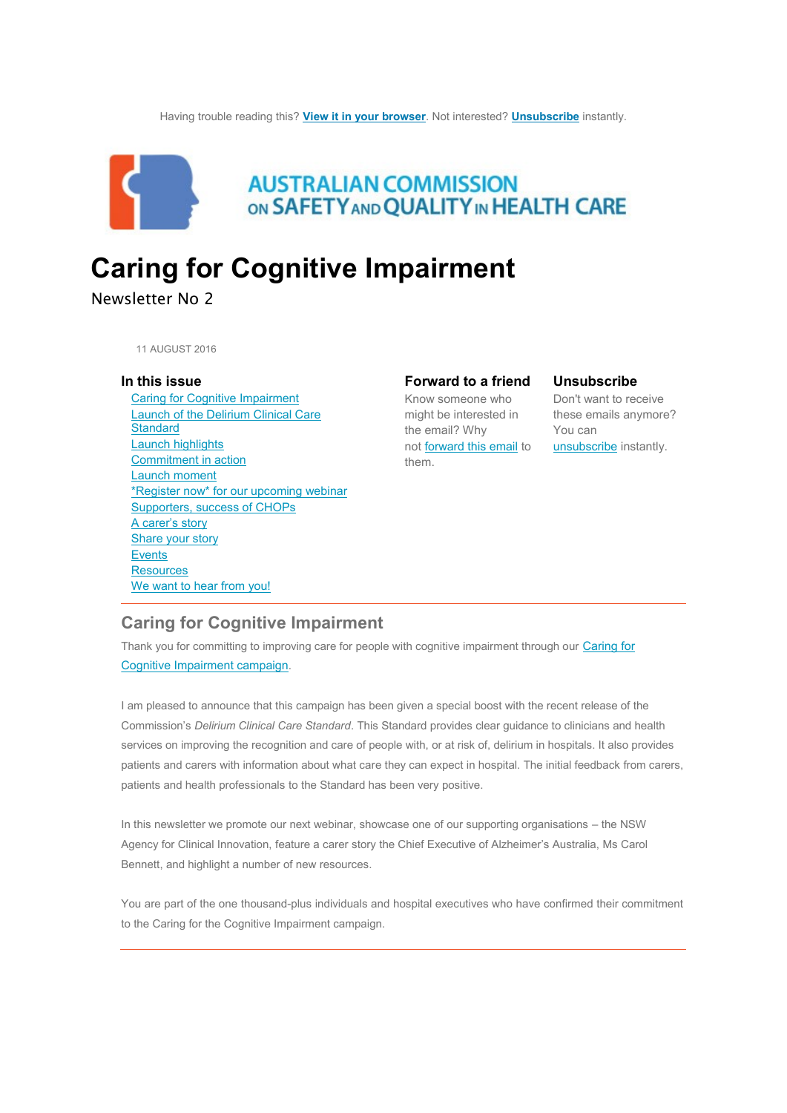

# **AUSTRALIAN COMMISSION** ON SAFETY AND QUALITY IN HEALTH CARE

# **Caring for Cognitive Impairment**

# Newsletter No 2

11 AUGUST 2016

#### **In this issue**

 [Caring for Cognitive Impairment](https://safetyandquality.createsend.com/campaigns/content/template/fd9e556d37b7f6fe#toc_item_0) [Launch of the Delirium Clinical Care](https://safetyandquality.createsend.com/campaigns/content/template/fd9e556d37b7f6fe#toc_item_1) **[Standard](https://safetyandquality.createsend.com/campaigns/content/template/fd9e556d37b7f6fe#toc_item_1)**  [Launch highlights](https://safetyandquality.createsend.com/campaigns/content/template/fd9e556d37b7f6fe#toc_item_2) [Commitment in action](https://safetyandquality.createsend.com/campaigns/content/template/fd9e556d37b7f6fe#toc_item_3) [Launch moment](https://safetyandquality.createsend.com/campaigns/content/template/fd9e556d37b7f6fe#toc_item_4) [\\*Register now\\* for](https://safetyandquality.createsend.com/campaigns/content/template/fd9e556d37b7f6fe#toc_item_5) our upcoming webinar [Supporters, success of CHOPs](https://safetyandquality.createsend.com/campaigns/content/template/fd9e556d37b7f6fe#toc_item_7) [A carer's s](https://safetyandquality.createsend.com/campaigns/content/template/fd9e556d37b7f6fe#toc_item_8)tory [Share your story](https://safetyandquality.createsend.com/campaigns/content/template/fd9e556d37b7f6fe#toc_item_9) **[Events](https://safetyandquality.createsend.com/campaigns/content/template/fd9e556d37b7f6fe#toc_item_10) [Resources](https://safetyandquality.createsend.com/campaigns/content/template/fd9e556d37b7f6fe#toc_item_11)** [We want to hear from you!](https://safetyandquality.createsend.com/campaigns/content/template/fd9e556d37b7f6fe#toc_item_12)

# **Forward to a friend**

Know someone who might be interested in these emails anymore? the email? Why not [forward this email](http://safetyandquality.forwardtomyfriend.com/j-l-2AD73FFF-kiitdyy-l-j) to [unsubscribe](http://safetyandquality.createsend1.com/t/j-u-kiitdyy-l-t/) instantly. them.

#### **Unsubscribe**

Don't want to receive You can

# **Caring for Cognitive Impairment**

Thank you for committing to improving care for people with cognitive impairment through our [Caring for](http://cognitivecare.gov.au/)  [Cognitive Impairment campaign](http://cognitivecare.gov.au/).

I am pleased to announce that this campaign has been given a special boost with the recent release of the Commission's *Delirium Clinical Care Standard*. This Standard provides clear guidance to clinicians and health services on improving the recognition and care of people with, or at risk of, delirium in hospitals. It also provides patients and carers with information about what care they can expect in hospital. The initial feedback from carers, patients and health professionals to the Standard has been very positive.

In this newsletter we promote our next webinar, showcase one of our supporting organisations – the NSW Agency for Clinical Innovation, feature a carer story the Chief Executive of Alzheimer's Australia, Ms Carol Bennett, and highlight a number of new resources.

You are part of the one thousand-plus individuals and hospital executives who have confirmed their commitment to the Caring for the Cognitive Impairment campaign.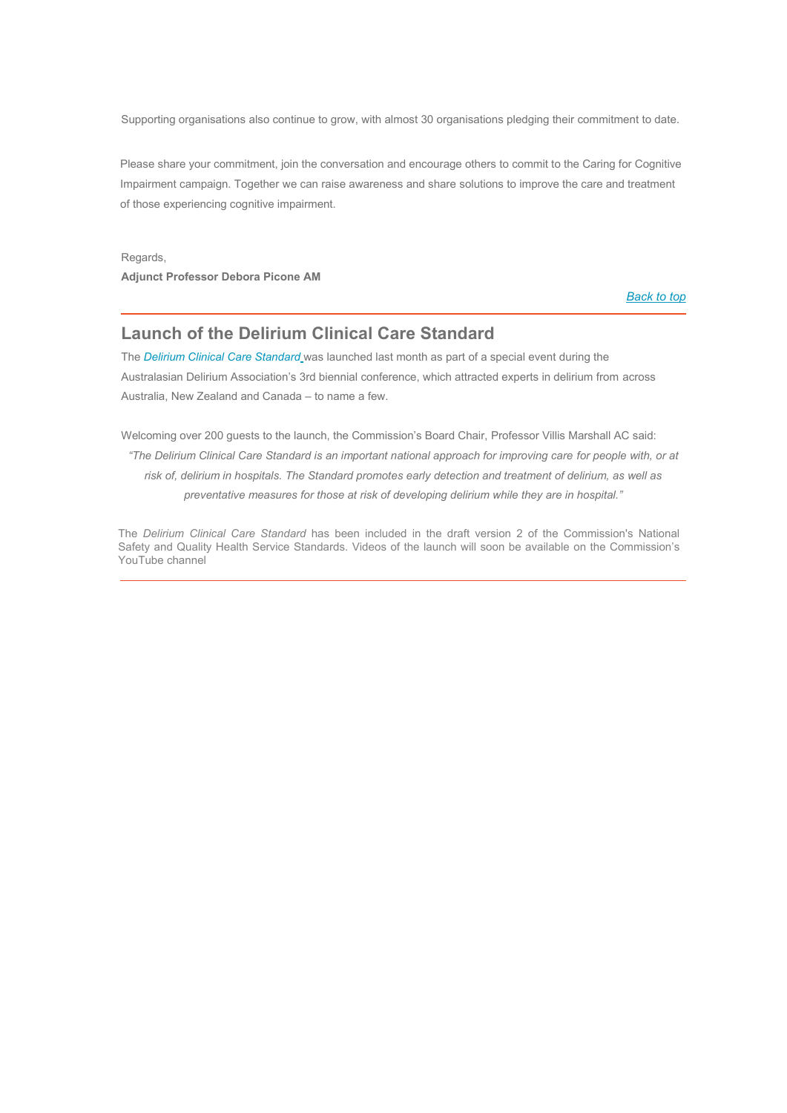Supporting organisations also continue to grow, with almost 30 organisations pledging their commitment to date.

Please share your commitment, join the conversation and encourage others to commit to the Caring for Cognitive Impairment campaign. Together we can raise awareness and share solutions to improve the care and treatment of those experiencing cognitive impairment.

Regards, **Adjunct Professor Debora Picone AM**

*[Back to top](https://safetyandquality.createsend.com/campaigns/content/template/fd9e556d37b7f6fe#top)*

# **Launch of the Delirium Clinical Care Standard**

The *[Delirium Clinical Care Standar](http://safetyandquality.cmail20.com/t/j-l-kiitdyy-zthlitdhh-h/)[d](http://safetyandquality.cmail20.com/t/j-l-kiitdyy-zthlitdhh-h/)* was launched last month as part of a special event during the Australasian Delirium Association's 3rd biennial conference, which attracted experts in delirium from across Australia, New Zealand and Canada – to name a few.

Welcoming over 200 guests to the launch, the Commission's Board Chair, Professor Villis Marshall AC said: *"The Delirium Clinical Care Standard is an important national approach for improving care for people with, or at risk of, delirium in hospitals. The Standard promotes early detection and treatment of delirium, as well as preventative measures for those at risk of developing delirium while they are in hospital."*

The *Delirium Clinical Care Standard* has been included in the draft version 2 of the Commission's National Safety and Quality Health Service Standards. Videos of the launch will soon be available on the Co[mmission's](http://safetyandquality.cmail20.com/t/j-l-kiitdyy-zthlitdhh-p/)  [YouTube](http://safetyandquality.cmail20.com/t/j-l-kiitdyy-zthlitdhh-p/) channel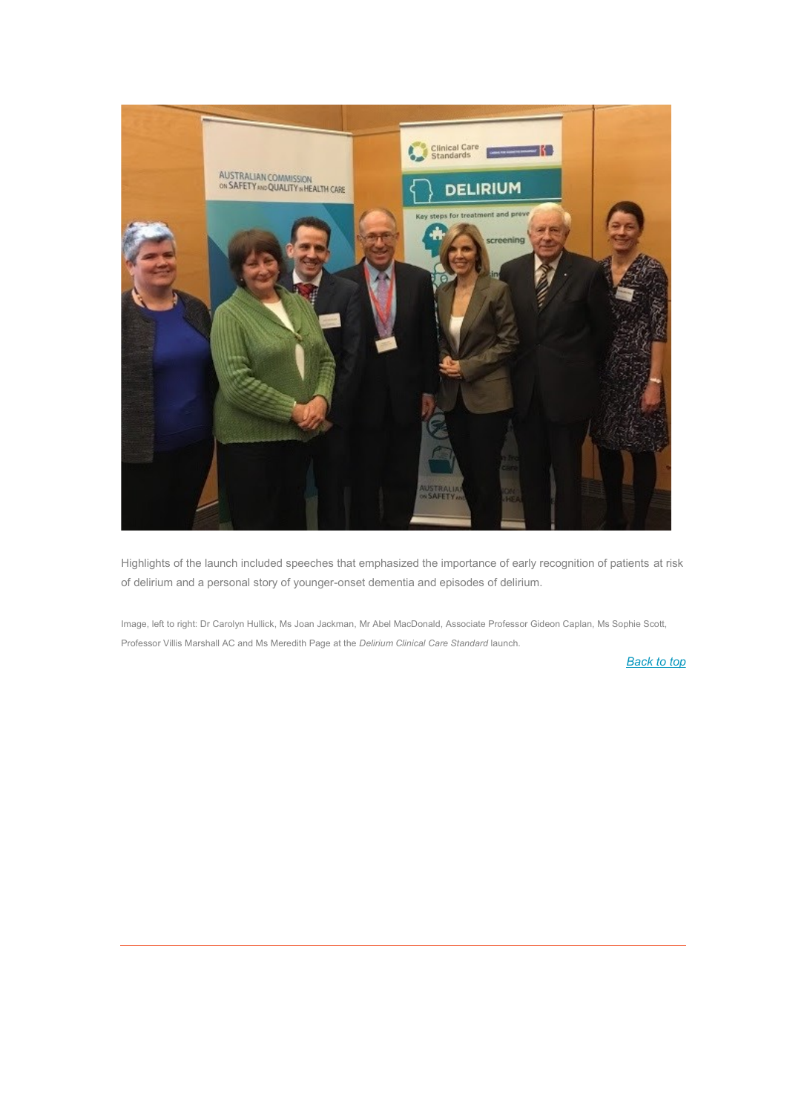

Highlights of the launch included speeches that emphasized the importance of early recognition of patients at risk of delirium and a personal story of younger-onset dementia and episodes of delirium.

Image, left to right: Dr Carolyn Hullick, Ms Joan Jackman, Mr Abel MacDonald, Associate Professor Gideon Caplan, Ms Sophie Scott, Professor Villis Marshall AC and Ms Meredith Page at the *Delirium Clinical Care Standard* launch.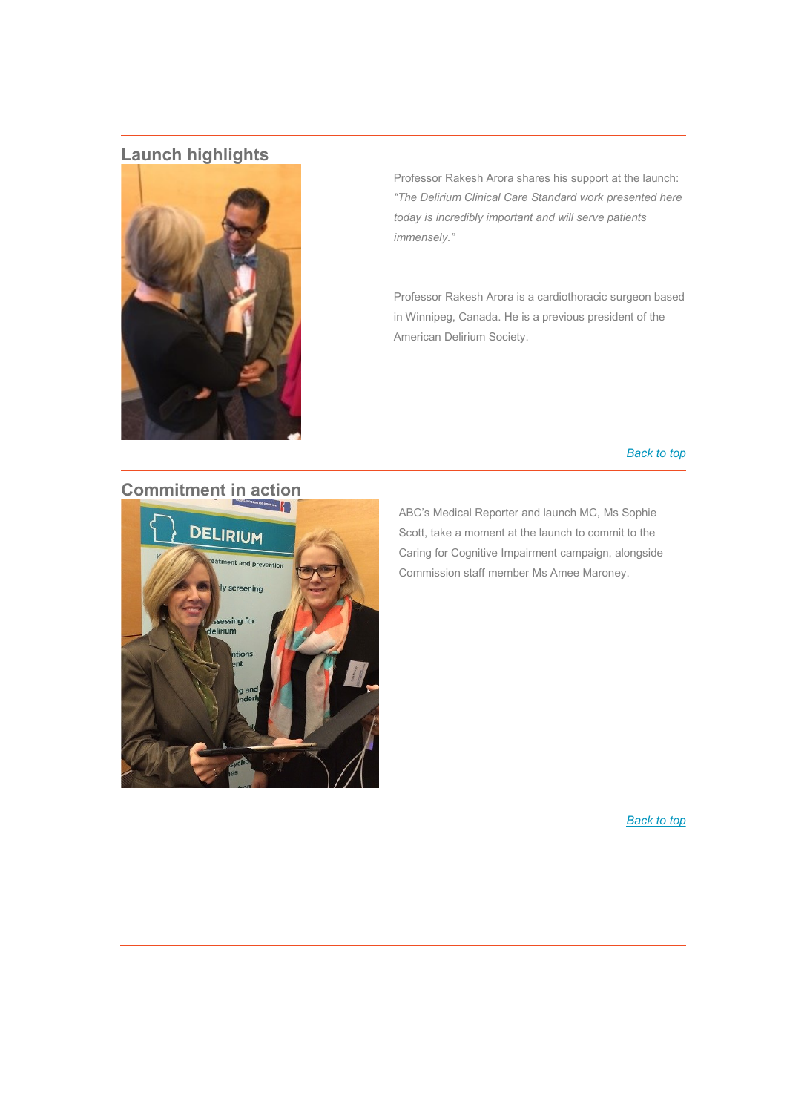# **Launch highlights**



Professor Rakesh Arora shares his support at the launch: *"The Delirium Clinical Care Standard work presented here today is incredibly important and will serve patients immensely."*

Professor Rakesh Arora is a cardiothoracic surgeon based in Winnipeg, Canada. He is a previous president of the American Delirium Society.

#### *[Back to top](https://safetyandquality.createsend.com/campaigns/content/template/fd9e556d37b7f6fe#top)*

# **Commitment in action**



ABC's Medical Reporter and launch MC, Ms Sophie Scott, take a moment at the launch to commit to the Caring for Cognitive Impairment campaign, alongside Commission staff member Ms Amee Maroney.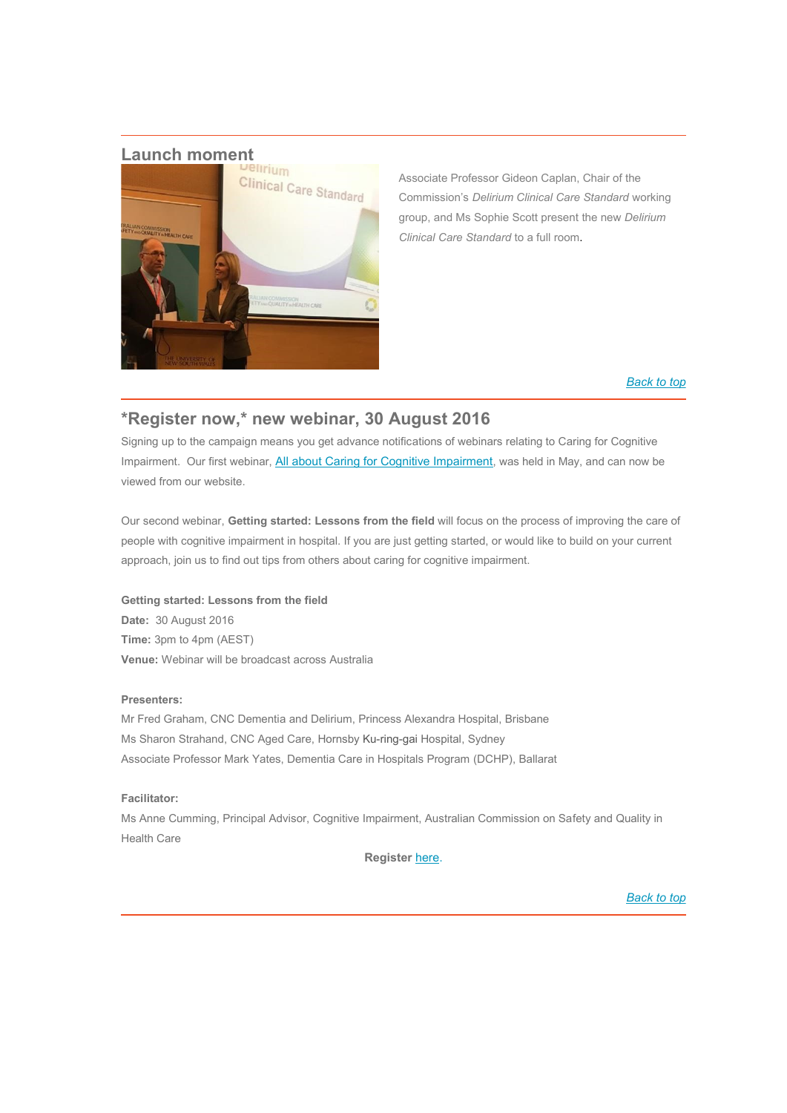

Associate Professor Gideon Caplan, Chair of the Commission's *Delirium Clinical Care Standard* working group, and Ms Sophie Scott present the new *Delirium Clinical Care Standard* to a full room.

#### *[Back to top](https://safetyandquality.createsend.com/campaigns/content/template/fd9e556d37b7f6fe#top)*

# **\*Register now,\* new webinar, 30 August 2016**

Signing up to the campaign means you get advance notifications of webinars relating to Caring for Cognitive Impairment. Our first webinar, [All about Caring for Cognitive Impairment](http://cognitivecare.gov.au/webinars/), was held in May, and can now be viewed from our website.

Our second webinar, **Getting started: Lessons from the field** will focus on the process of improving the care of people with cognitive impairment in hospital. If you are just getting started, or would like to build on your current approach, join us to find out tips from others about caring for cognitive impairment.

**Getting started: Lessons from the field Date:** 30 August 2016 **Time:** 3pm to 4pm (AEST) **Venue:** Webinar will be broadcast across Australia

#### **Presenters:**

Mr Fred Graham, CNC Dementia and Delirium, Princess Alexandra Hospital, Brisbane Ms Sharon Strahand, CNC Aged Care, Hornsby Ku-ring-gai Hospital, Sydney Associate Professor Mark Yates, Dementia Care in Hospitals Program (DCHP), Ballarat

#### **Facilitator:**

Ms Anne Cumming, Principal Advisor, Cognitive Impairment, Australian Commission on Safety and Quality in Health Care

**Register** [here.](https://attendee.gotowebinar.com/register/5672714016065473794)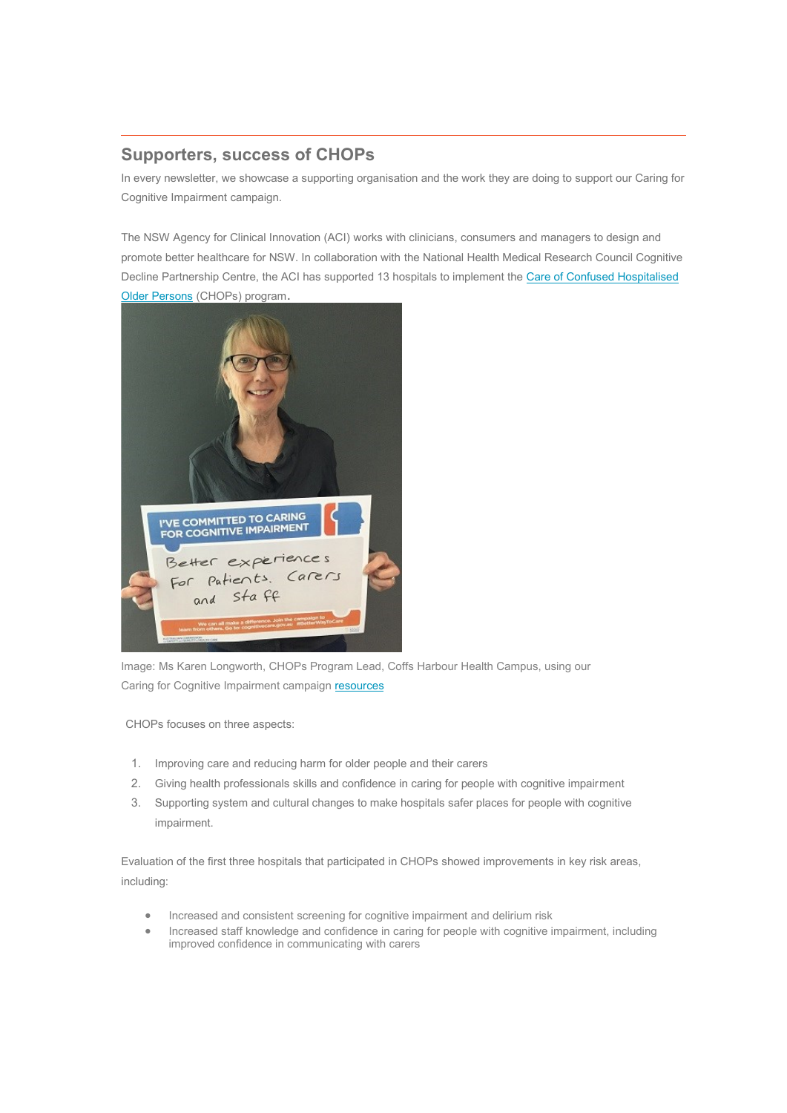# **Supporters, success of CHOPs**

In every newsletter, we showcase a supporting organisation and the work they are doing to support our Caring for Cognitive Impairment campaign.

The NSW Agency for Clinical Innovation (ACI) works with clinicians, consumers and managers to design and promote better healthcare for NSW. In collaboration with the National Health Medical Research Council Cognitive Decline Partnership Centre, the ACI has supported 13 hospitals to implement the Care of Confused Hospitalised [Older Persons](http://www.aci.health.nsw.gov.au/chops) (CHOPs) program.



Image: Ms Karen Longworth, CHOPs Program Lead, Coffs Harbour Health Campus, using our Caring for Cognitive Impairment campaign resources

CHOPs focuses on three aspects:

- 1. Improving care and reducing harm for older people and their carers
- 2. Giving health professionals skills and confidence in caring for people with cognitive impairment
- 3. Supporting system and cultural changes to make hospitals safer places for people with cognitive impairment.

Evaluation of the first three hospitals that participated in CHOPs showed improvements in key risk areas, including:

- Increased and consistent screening for cognitive impairment and delirium risk
- Increased staff knowledge and confidence in caring for people with cognitive impairment, including improved confidence in communicating with carers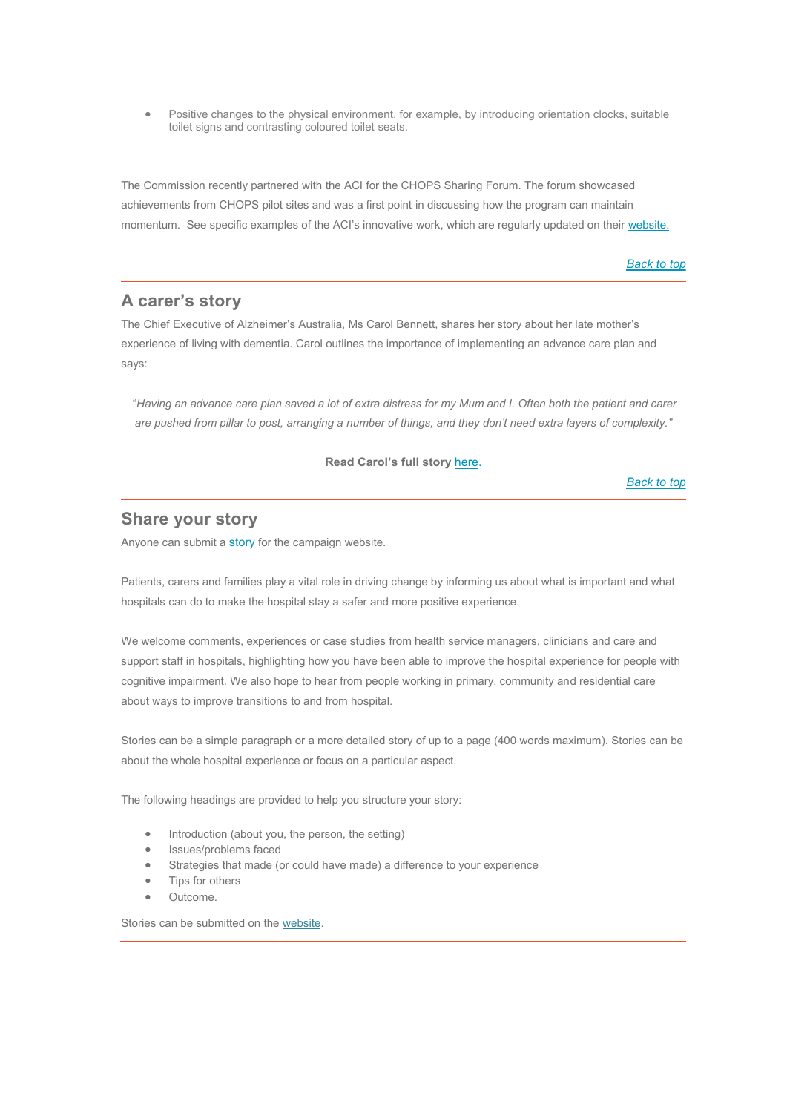Positive changes to the physical environment, for example, by introducing orientation clocks, suitable toilet signs and contrasting coloured toilet seats.

The Commission recently partnered with the ACI for the CHOPS Sharing Forum. The forum showcased achievements from CHOPS pilot sites and was a first point in discussing how the program can maintain momentum. See specific examples of the ACI's innovative work, which are regularly updated on their [website.](http://www.aci.health.nsw.gov.au/)

*[Back to top](https://safetyandquality.createsend.com/campaigns/content/template/fd9e556d37b7f6fe#top)*

# **A carer's story**

The Chief Executive of Alzheimer's Australia, Ms Carol Bennett, shares her story about her late mother's experience of living with dementia. Carol outlines the importance of implementing an advance care plan and says:

"*Having an advance care plan saved a lot of extra distress for my Mum and I. Often both the patient and carer are pushed from pillar to post, arranging a number of things, and they don't need extra layers of complexity."*

**Read Carol's full story** [here.](http://cognitivecare.gov.au/stories/)

*[Back to top](https://safetyandquality.createsend.com/campaigns/content/template/fd9e556d37b7f6fe#top)*

### **Share your story**

Anyone can submit a [story](http://cognitivecare.gov.au/stories/share-your-story/) for the campaign website.

Patients, carers and families play a vital role in driving change by informing us about what is important and what hospitals can do to make the hospital stay a safer and more positive experience.

We welcome comments, experiences or case studies from health service managers, clinicians and care and support staff in hospitals, highlighting how you have been able to improve the hospital experience for people with cognitive impairment. We also hope to hear from people working in primary, community and residential care about ways to improve transitions to and from hospital.

Stories can be a simple paragraph or a more detailed story of up to a page (400 words maximum). Stories can be about the whole hospital experience or focus on a particular aspect.

The following headings are provided to help you structure your story:

- Introduction (about you, the person, the setting)
- Issues/problems faced
- Strategies that made (or could have made) a difference to your experience
- Tips for others
- Outcome.

Stories can be submitted on th[e website.](http://cognitivecare.gov.au/stories/share-your-story/)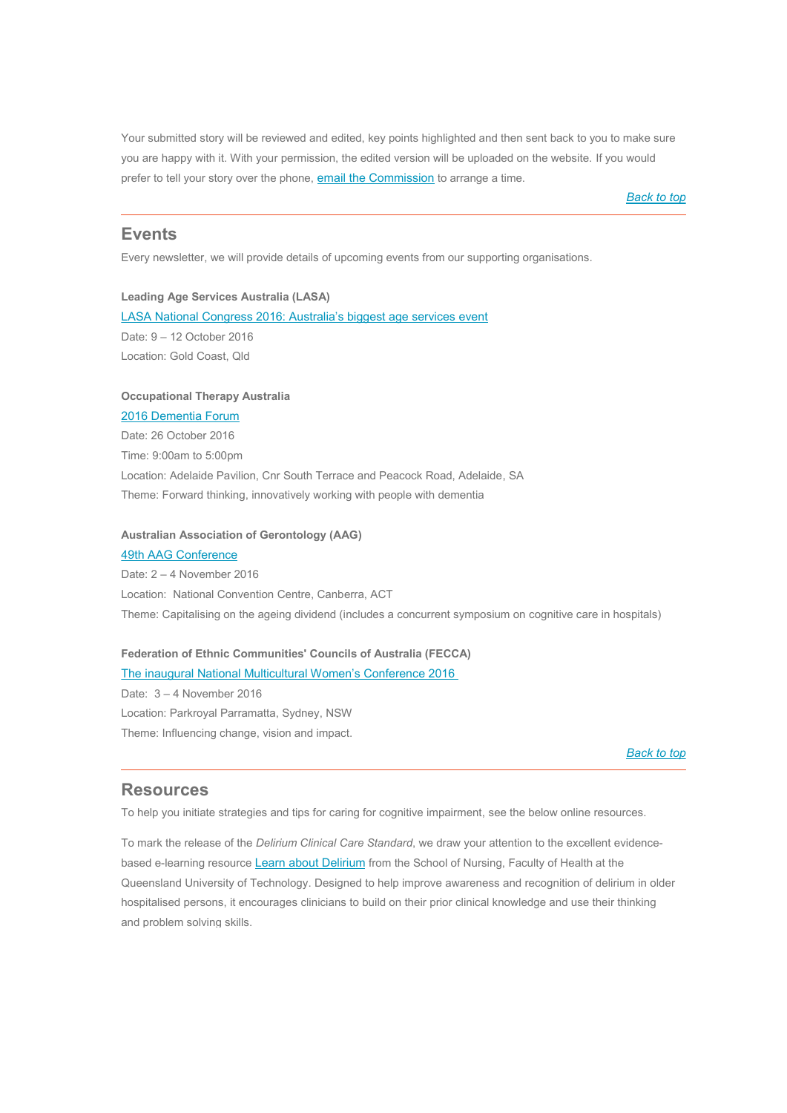Your submitted story will be reviewed and edited, key points highlighted and then sent back to you to make sure you are happy with it. With your permission, the edited version will be uploaded on the website. If you would prefer to tell your story over the phone, [email the Commission](http://cognitive.impairment@safetyandquality.gov.au/) to arrange a time.

*[Back to top](https://safetyandquality.createsend.com/campaigns/content/template/fd9e556d37b7f6fe#top)*

#### **Events**

Every newsletter, we will provide details of upcoming events from our supporting organisations.

#### **Leading Age Services Australia (LASA)**

[LASA National Congress 2016: Australia's biggest age services event](http://www.lasacongress.asn.au/) Date: 9 – 12 October 2016 Location: Gold Coast, Qld

#### **Occupational Therapy Australia**

[2016 Dementia Forum](http://www.otaus.com.au/divisions/sa-conferencesforums/2016-dementia-forum) Date: 26 October 2016 Time: 9:00am to 5:00pm Location: Adelaide Pavilion, Cnr South Terrace and Peacock Road, Adelaide, SA Theme: Forward thinking, innovatively working with people with dementia

#### **Australian Association of Gerontology (AAG)**

[49th AAG Conference](http://aagconference.asn.au/article/the-2016-conference) Date: 2 – 4 November 2016 Location: National Convention Centre, Canberra, ACT Theme: Capitalising on the ageing dividend (includes a concurrent symposium on cognitive care in hospitals)

#### **Federation of Ethnic Communities' Councils of Australia (FECCA)** The [inaugural National Multicultural Women's Conference 2016](http://www.nmwc2016.com/call-for-abstracts.php)

Date: 3 – 4 November 2016 Location: Parkroyal Parramatta, Sydney, NSW Theme: Influencing change, vision and impact.

*[Back to top](https://safetyandquality.createsend.com/campaigns/content/template/fd9e556d37b7f6fe#top)*

#### **Resources**

To help you initiate strategies and tips for caring for cognitive impairment, see the below online resources.

To mark the release of the *Delirium Clinical Care Standard*, we draw your attention to the excellent evidence-based e-learning resource [Learn about Delirium](http://www.delirium.health.qut.edu.au/) from the School of Nursing, Faculty of Health at the Queensland University of Technology. Designed to help improve awareness and recognition of delirium in older hospitalised persons, it encourages clinicians to build on their prior clinical knowledge and use their thinking and problem solving skills.